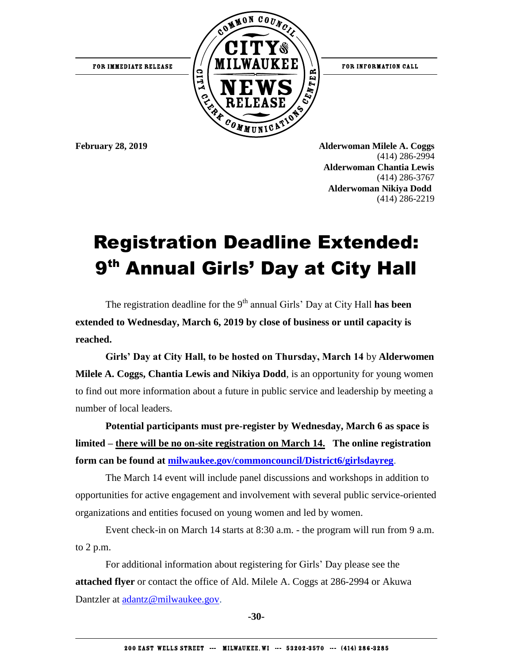FOR INFORMATION CALL



FOR IMMEDIATE RELEASE

**February 28, 2019 Alderwoman Milele A. Coggs** (414) 286-2994 **Alderwoman Chantia Lewis** (414) 286-3767 **Alderwoman Nikiya Dodd** (414) 286-2219

# Registration Deadline Extended: 9<sup>th</sup> Annual Girls' Day at City Hall

The registration deadline for the 9<sup>th</sup> annual Girls' Day at City Hall **has been extended to Wednesday, March 6, 2019 by close of business or until capacity is reached.**

**Girls' Day at City Hall, to be hosted on Thursday, March 14** by **Alderwomen Milele A. Coggs, Chantia Lewis and Nikiya Dodd**, is an opportunity for young women to find out more information about a future in public service and leadership by meeting a number of local leaders.

**Potential participants must pre-register by Wednesday, March 6 as space is limited – there will be no on-site registration on March 14. The online registration form can be found at [milwaukee.gov/commoncouncil/District6/girlsdayreg](http://city.milwaukee.gov/commoncouncil/District6/girlsdayreg)**.

The March 14 event will include panel discussions and workshops in addition to opportunities for active engagement and involvement with several public service-oriented organizations and entities focused on young women and led by women.

Event check-in on March 14 starts at 8:30 a.m. - the program will run from 9 a.m. to 2 p.m.

For additional information about registering for Girls' Day please see the **attached flyer** or contact the office of Ald. Milele A. Coggs at 286-2994 or Akuwa Dantzler at [adantz@milwaukee.gov.](mailto:adantz@milwaukee.gov)

**-30-**